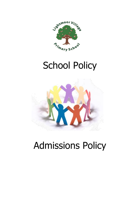

# School Policy



# Admissions Policy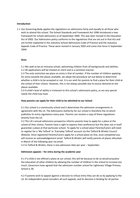### **Introduction**

1.1 Our Governing Body applies the regulations on admissions fairly and equally to all those who wish to attend this school. The School Standards and Framework Act 1998 introduced a new framework for school admissions as of September 2000. This was later revised in the Education Act of 2002. Our Admissions policy conforms to the regulations that are set out in that Act and are further explained in the statutory School Admissions Code of Practice and the statutory Appeals Code of Practice. These were revised in January 2003 and come into force in September 2004.

#### **Aims**

2.1 We seek to be an inclusive school, welcoming children from all backgrounds and abilities. 2.2 All applications will be treated on merit and in a sensitive manner.

2.3 The only restriction we place on entry is that of number. If the number of children applying for entry exceeds the places available, we adopt the procedure set out below to determine whether a child is to be accepted or not. It is our wish for parents to find a place for their child at the school of their choice. However, this is not always possible due to excess demand on the places available.

2.4 A child's level of ability is irrelevant to this school's admissions policy, as are any special needs the child may have.

#### **How parents can apply for their child to be admitted to our School**

3.1 Our school is a community school and it determines the admission arrangements in agreement with the LA. The Admissions Authority for our school is therefore the LA which publishes its entry regulations every year. Parents can receive a copy of these regulations directly from the LA.

3.2 The LA's annual admissions prospectus informs parents how to apply for a place at the school of their choice. Parents have a right to express their preference but this does not in itself guarantee a place at that particular school. To apply for a school place Parents/Carers will need to register for a 'My Telford' or 'Everyday Telford' account via the Telford & Wrekin Council Website. Once registered Parents/Carers apply for a school place on-line, once completed you will receive an acknowledgement email. Telford & Wrekin will notify parents of places allocated in March of the following year via email.

3.3 In Telford & Wrekin, there is one admission date per year – September.

#### **Admission appeals – for entry during the academic year**

4.1 If a child is not offered a place at our school, this will be because to do so would prejudice the education of other children by allowing the number of children in the school to increase too much. Governors have agreed that the admission number school for Lightmoor Village Primary School is 30.

4.2 If parents wish to appeal against a decision to refuse entry they can do so by applying to the LA. An independent panel considers all such appeals, and its decision is binding for all parties